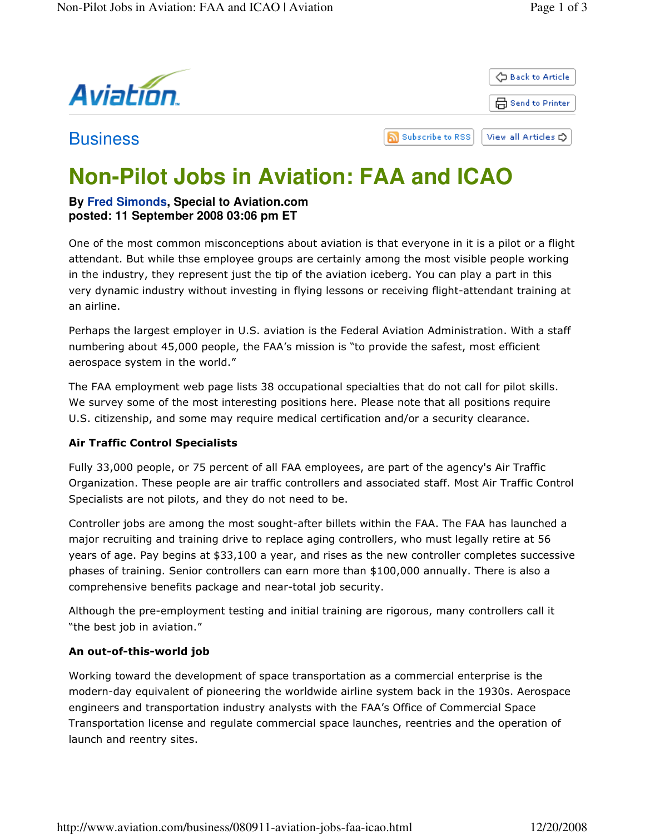

# **Non-Pilot Jobs in Aviation: FAA and ICAO**

## **By Fred Simonds, Special to Aviation.com posted: 11 September 2008 03:06 pm ET**

One of the most common misconceptions about aviation is that everyone in it is a pilot or a flight attendant. But while thse employee groups are certainly among the most visible people working in the industry, they represent just the tip of the aviation iceberg. You can play a part in this very dynamic industry without investing in flying lessons or receiving flight-attendant training at an airline.

Perhaps the largest employer in U.S. aviation is the Federal Aviation Administration. With a staff numbering about 45,000 people, the FAA's mission is "to provide the safest, most efficient aerospace system in the world."

The FAA employment web page lists 38 occupational specialties that do not call for pilot skills. We survey some of the most interesting positions here. Please note that all positions require U.S. citizenship, and some may require medical certification and/or a security clearance.

## Air Traffic Control Specialists

Fully 33,000 people, or 75 percent of all FAA employees, are part of the agency's Air Traffic Organization. These people are air traffic controllers and associated staff. Most Air Traffic Control Specialists are not pilots, and they do not need to be.

Controller jobs are among the most sought-after billets within the FAA. The FAA has launched a major recruiting and training drive to replace aging controllers, who must legally retire at 56 years of age. Pay begins at \$33,100 a year, and rises as the new controller completes successive phases of training. Senior controllers can earn more than \$100,000 annually. There is also a comprehensive benefits package and near-total job security.

Although the pre-employment testing and initial training are rigorous, many controllers call it "the best job in aviation."

## An out-of-this-world job

Working toward the development of space transportation as a commercial enterprise is the modern-day equivalent of pioneering the worldwide airline system back in the 1930s. Aerospace engineers and transportation industry analysts with the FAA's Office of Commercial Space Transportation license and regulate commercial space launches, reentries and the operation of launch and reentry sites.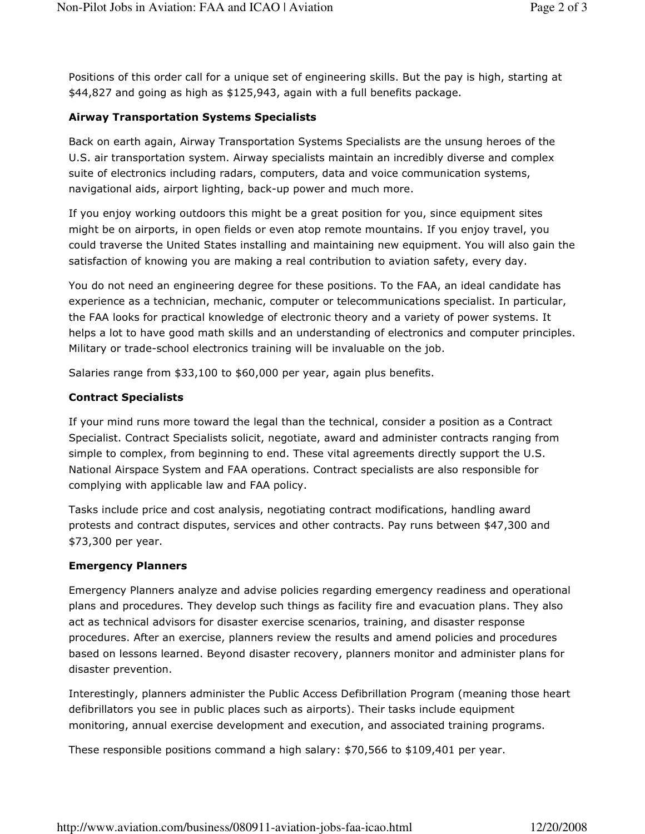Positions of this order call for a unique set of engineering skills. But the pay is high, starting at \$44,827 and going as high as \$125,943, again with a full benefits package.

#### Airway Transportation Systems Specialists

Back on earth again, Airway Transportation Systems Specialists are the unsung heroes of the U.S. air transportation system. Airway specialists maintain an incredibly diverse and complex suite of electronics including radars, computers, data and voice communication systems, navigational aids, airport lighting, back-up power and much more.

If you enjoy working outdoors this might be a great position for you, since equipment sites might be on airports, in open fields or even atop remote mountains. If you enjoy travel, you could traverse the United States installing and maintaining new equipment. You will also gain the satisfaction of knowing you are making a real contribution to aviation safety, every day.

You do not need an engineering degree for these positions. To the FAA, an ideal candidate has experience as a technician, mechanic, computer or telecommunications specialist. In particular, the FAA looks for practical knowledge of electronic theory and a variety of power systems. It helps a lot to have good math skills and an understanding of electronics and computer principles. Military or trade-school electronics training will be invaluable on the job.

Salaries range from \$33,100 to \$60,000 per year, again plus benefits.

#### Contract Specialists

If your mind runs more toward the legal than the technical, consider a position as a Contract Specialist. Contract Specialists solicit, negotiate, award and administer contracts ranging from simple to complex, from beginning to end. These vital agreements directly support the U.S. National Airspace System and FAA operations. Contract specialists are also responsible for complying with applicable law and FAA policy.

Tasks include price and cost analysis, negotiating contract modifications, handling award protests and contract disputes, services and other contracts. Pay runs between \$47,300 and \$73,300 per year.

#### Emergency Planners

Emergency Planners analyze and advise policies regarding emergency readiness and operational plans and procedures. They develop such things as facility fire and evacuation plans. They also act as technical advisors for disaster exercise scenarios, training, and disaster response procedures. After an exercise, planners review the results and amend policies and procedures based on lessons learned. Beyond disaster recovery, planners monitor and administer plans for disaster prevention.

Interestingly, planners administer the Public Access Defibrillation Program (meaning those heart defibrillators you see in public places such as airports). Their tasks include equipment monitoring, annual exercise development and execution, and associated training programs.

These responsible positions command a high salary: \$70,566 to \$109,401 per year.